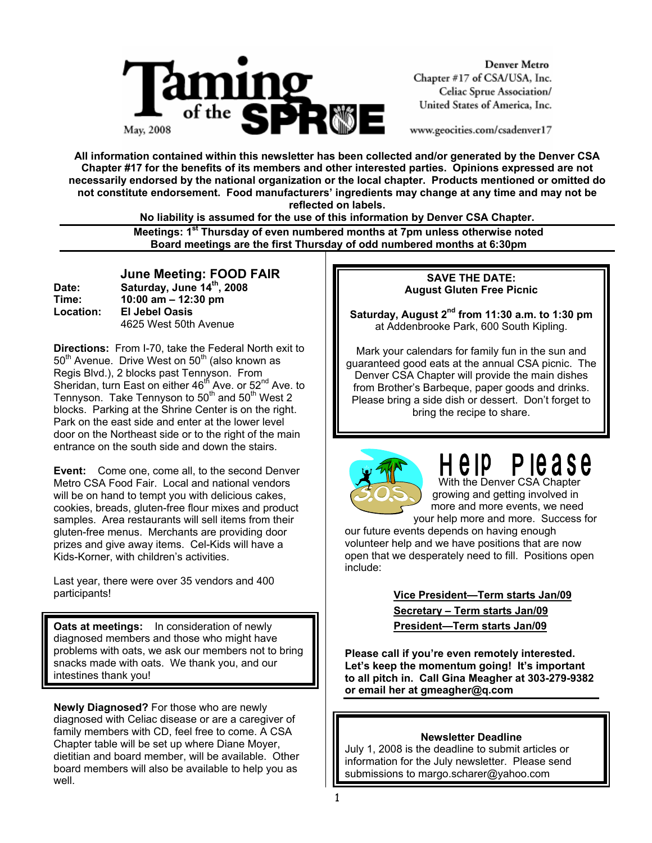

**Denver Metro** Chapter #17 of CSA/USA, Inc. Celiac Sprue Association/ United States of America, Inc.

www.geocities.com/csadenver17

**All information contained within this newsletter has been collected and/or generated by the Denver CSA Chapter #17 for the benefits of its members and other interested parties. Opinions expressed are not necessarily endorsed by the national organization or the local chapter. Products mentioned or omitted do not constitute endorsement. Food manufacturers' ingredients may change at any time and may not be reflected on labels.** 

**No liability is assumed for the use of this information by Denver CSA Chapter.** 

 **Meetings: 1st Thursday of even numbered months at 7pm unless otherwise noted Board meetings are the first Thursday of odd numbered months at 6:30pm**

 **June Meeting: FOOD FAIR Date: Saturday, June 14th, 2008 Time: 10:00 am – 12:30 pm Location: El Jebel Oasis**  4625 West 50th Avenue

**Directions:** From I-70, take the Federal North exit to  $50<sup>th</sup>$  Avenue. Drive West on  $50<sup>th</sup>$  (also known as Regis Blvd.), 2 blocks past Tennyson. From Sheridan, turn East on either  $46<sup>th</sup>$  Ave. or  $52<sup>nd</sup>$  Ave. to Tennyson. Take Tennyson to  $50<sup>th</sup>$  and  $50<sup>th</sup>$  West 2 blocks. Parking at the Shrine Center is on the right. Park on the east side and enter at the lower level door on the Northeast side or to the right of the main entrance on the south side and down the stairs.

**Event:** Come one, come all, to the second Denver Metro CSA Food Fair. Local and national vendors will be on hand to tempt you with delicious cakes, cookies, breads, gluten-free flour mixes and product samples. Area restaurants will sell items from their gluten-free menus. Merchants are providing door prizes and give away items. Cel-Kids will have a Kids-Korner, with children's activities.

Last year, there were over 35 vendors and 400 participants!

**Oats at meetings:** In consideration of newly diagnosed members and those who might have problems with oats, we ask our members not to bring snacks made with oats. We thank you, and our intestines thank you!

**Newly Diagnosed?** For those who are newly diagnosed with Celiac disease or are a caregiver of family members with CD, feel free to come. A CSA Chapter table will be set up where Diane Moyer, dietitian and board member, will be available. Other board members will also be available to help you as well.

#### **SAVE THE DATE: August Gluten Free Picnic**

Saturday, August 2<sup>nd</sup> from 11:30 a.m. to 1:30 pm at Addenbrooke Park, 600 South Kipling.

Mark your calendars for family fun in the sun and guaranteed good eats at the annual CSA picnic. The Denver CSA Chapter will provide the main dishes from Brother's Barbeque, paper goods and drinks. Please bring a side dish or dessert. Don't forget to bring the recipe to share.



## P le a s e e ip

 With the Denver CSA Chapter growing and getting involved in more and more events, we need your help more and more. Success for

our future events depends on having enough volunteer help and we have positions that are now open that we desperately need to fill. Positions open include:

> **Vice President—Term starts Jan/09 Secretary – Term starts Jan/09 President—Term starts Jan/09**

**Please call if you're even remotely interested. Let's keep the momentum going! It's important to all pitch in. Call Gina Meagher at 303-279-9382 or email her at gmeagher@q.com**

#### **Newsletter Deadline**

July 1, 2008 is the deadline to submit articles or information for the July newsletter. Please send submissions to margo.scharer@yahoo.com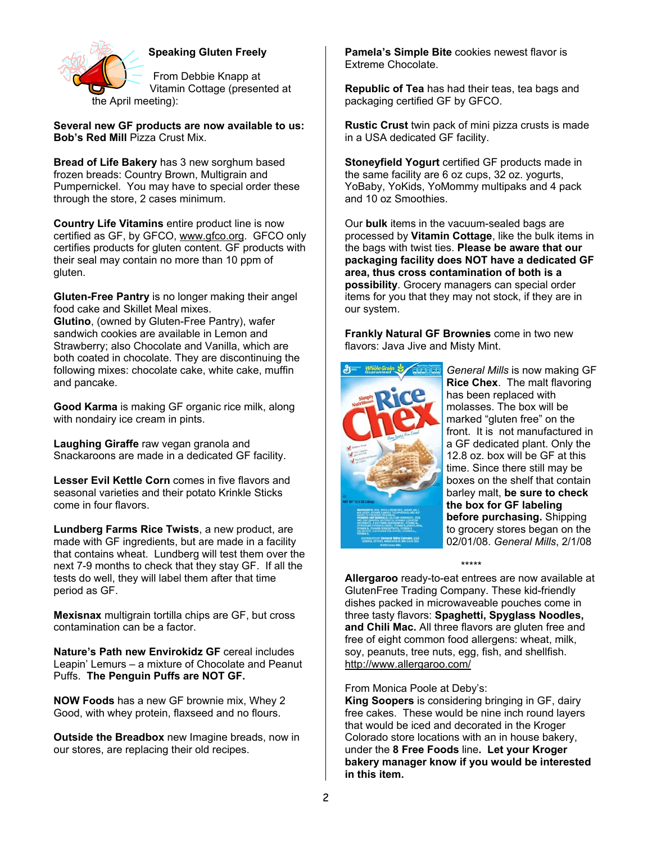

### **Speaking Gluten Freely**

From Debbie Knapp at Vitamin Cottage (presented at the April meeting):

**Several new GF products are now available to us: Bob's Red Mill** Pizza Crust Mix.

**Bread of Life Bakery** has 3 new sorghum based frozen breads: Country Brown, Multigrain and Pumpernickel. You may have to special order these through the store, 2 cases minimum.

**Country Life Vitamins** entire product line is now certified as GF, by GFCO, www.gfco.org. GFCO only certifies products for gluten content. GF products with their seal may contain no more than 10 ppm of gluten.

**Gluten-Free Pantry** is no longer making their angel food cake and Skillet Meal mixes.

**Glutino**, (owned by Gluten-Free Pantry), wafer sandwich cookies are available in Lemon and Strawberry; also Chocolate and Vanilla, which are both coated in chocolate. They are discontinuing the following mixes: chocolate cake, white cake, muffin and pancake.

**Good Karma** is making GF organic rice milk, along with nondairy ice cream in pints.

**Laughing Giraffe** raw vegan granola and Snackaroons are made in a dedicated GF facility.

**Lesser Evil Kettle Corn** comes in five flavors and seasonal varieties and their potato Krinkle Sticks come in four flavors.

**Lundberg Farms Rice Twists**, a new product, are made with GF ingredients, but are made in a facility that contains wheat. Lundberg will test them over the next 7-9 months to check that they stay GF. If all the tests do well, they will label them after that time period as GF.

**Mexisnax** multigrain tortilla chips are GF, but cross contamination can be a factor.

**Nature's Path new Envirokidz GF** cereal includes Leapin' Lemurs – a mixture of Chocolate and Peanut Puffs. **The Penguin Puffs are NOT GF.**

**NOW Foods** has a new GF brownie mix, Whey 2 Good, with whey protein, flaxseed and no flours.

**Outside the Breadbox** new Imagine breads, now in our stores, are replacing their old recipes.

**Pamela's Simple Bite** cookies newest flavor is Extreme Chocolate.

**Republic of Tea** has had their teas, tea bags and packaging certified GF by GFCO.

**Rustic Crust** twin pack of mini pizza crusts is made in a USA dedicated GF facility.

**Stoneyfield Yogurt** certified GF products made in the same facility are 6 oz cups, 32 oz. yogurts, YoBaby, YoKids, YoMommy multipaks and 4 pack and 10 oz Smoothies.

Our **bulk** items in the vacuum-sealed bags are processed by **Vitamin Cottage**, like the bulk items in the bags with twist ties. **Please be aware that our packaging facility does NOT have a dedicated GF area, thus cross contamination of both is a possibility**. Grocery managers can special order items for you that they may not stock, if they are in our system.

**Frankly Natural GF Brownies** come in two new flavors: Java Jive and Misty Mint.



*General Mills* is now making GF **Rice Chex**. The malt flavoring has been replaced with molasses. The box will be marked "gluten free" on the front. It is not manufactured in a GF dedicated plant. Only the 12.8 oz. box will be GF at this time. Since there still may be boxes on the shelf that contain barley malt, **be sure to check the box for GF labeling before purchasing.** Shipping to grocery stores began on the 02/01/08. *General Mills*, 2/1/08

\*\*\*\*\*

**Allergaroo** ready-to-eat entrees are now available at GlutenFree Trading Company. These kid-friendly dishes packed in microwaveable pouches come in three tasty flavors: **Spaghetti, Spyglass Noodles, and Chili Mac.** All three flavors are gluten free and free of eight common food allergens: wheat, milk, soy, peanuts, tree nuts, egg, fish, and shellfish. http://www.allergaroo.com/

From Monica Poole at Deby's:

**King Soopers** is considering bringing in GF, dairy free cakes. These would be nine inch round layers that would be iced and decorated in the Kroger Colorado store locations with an in house bakery, under the **8 Free Foods** line**. Let your Kroger bakery manager know if you would be interested in this item.**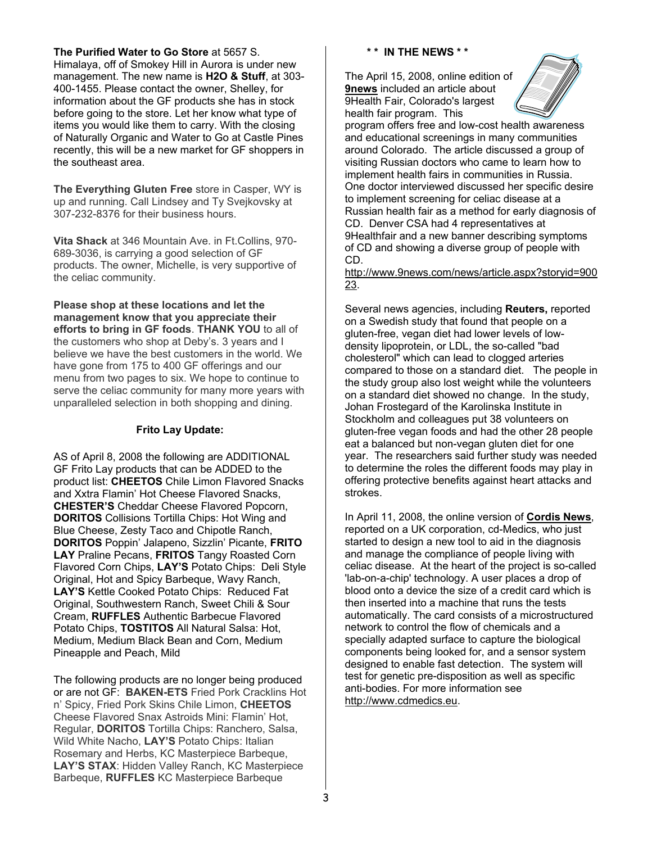#### **The Purified Water to Go Store** at 5657 S.

Himalaya, off of Smokey Hill in Aurora is under new management. The new name is **H2O & Stuff**, at 303- 400-1455. Please contact the owner, Shelley, for information about the GF products she has in stock before going to the store. Let her know what type of items you would like them to carry. With the closing of Naturally Organic and Water to Go at Castle Pines recently, this will be a new market for GF shoppers in the southeast area.

**The Everything Gluten Free** store in Casper, WY is up and running. Call Lindsey and Ty Svejkovsky at 307-232-8376 for their business hours.

**Vita Shack** at 346 Mountain Ave. in Ft.Collins, 970- 689-3036, is carrying a good selection of GF products. The owner, Michelle, is very supportive of the celiac community.

**Please shop at these locations and let the management know that you appreciate their efforts to bring in GF foods**. **THANK YOU** to all of the customers who shop at Deby's. 3 years and I believe we have the best customers in the world. We have gone from 175 to 400 GF offerings and our menu from two pages to six. We hope to continue to serve the celiac community for many more years with unparalleled selection in both shopping and dining.

#### **Frito Lay Update:**

AS of April 8, 2008 the following are ADDITIONAL GF Frito Lay products that can be ADDED to the product list: **CHEETOS** Chile Limon Flavored Snacks and Xxtra Flamin' Hot Cheese Flavored Snacks, **CHESTER'S** Cheddar Cheese Flavored Popcorn, **DORITOS** Collisions Tortilla Chips: Hot Wing and Blue Cheese, Zesty Taco and Chipotle Ranch, **DORITOS** Poppin' Jalapeno, Sizzlin' Picante, **FRITO LAY** Praline Pecans, **FRITOS** Tangy Roasted Corn Flavored Corn Chips, **LAY'S** Potato Chips: Deli Style Original, Hot and Spicy Barbeque, Wavy Ranch, **LAY'S** Kettle Cooked Potato Chips: Reduced Fat Original, Southwestern Ranch, Sweet Chili & Sour Cream, **RUFFLES** Authentic Barbecue Flavored Potato Chips, **TOSTITOS** All Natural Salsa: Hot, Medium, Medium Black Bean and Corn, Medium Pineapple and Peach, Mild

The following products are no longer being produced or are not GF: **BAKEN-ETS** Fried Pork Cracklins Hot n' Spicy, Fried Pork Skins Chile Limon, **CHEETOS**  Cheese Flavored Snax Astroids Mini: Flamin' Hot, Regular, **DORITOS** Tortilla Chips: Ranchero, Salsa, Wild White Nacho, **LAY'S** Potato Chips: Italian Rosemary and Herbs, KC Masterpiece Barbeque, **LAY'S STAX**: Hidden Valley Ranch, KC Masterpiece Barbeque, **RUFFLES** KC Masterpiece Barbeque

#### **\* \* IN THE NEWS \* \***

The April 15, 2008, online edition of **9news** included an article about 9Health Fair, Colorado's largest health fair program. This



program offers free and low-cost health awareness and educational screenings in many communities around Colorado. The article discussed a group of visiting Russian doctors who came to learn how to implement health fairs in communities in Russia. One doctor interviewed discussed her specific desire to implement screening for celiac disease at a Russian health fair as a method for early diagnosis of CD. Denver CSA had 4 representatives at 9Healthfair and a new banner describing symptoms of CD and showing a diverse group of people with CD.

http://www.9news.com/news/article.aspx?storyid=900 23.

Several news agencies, including **Reuters,** reported on a Swedish study that found that people on a gluten-free, vegan diet had lower levels of lowdensity lipoprotein, or LDL, the so-called "bad cholesterol" which can lead to clogged arteries compared to those on a standard diet. The people in the study group also lost weight while the volunteers on a standard diet showed no change. In the study, Johan Frostegard of the Karolinska Institute in Stockholm and colleagues put 38 volunteers on gluten-free vegan foods and had the other 28 people eat a balanced but non-vegan gluten diet for one year. The researchers said further study was needed to determine the roles the different foods may play in offering protective benefits against heart attacks and strokes.

In April 11, 2008, the online version of **Cordis News**, reported on a UK corporation, cd-Medics, who just started to design a new tool to aid in the diagnosis and manage the compliance of people living with celiac disease. At the heart of the project is so-called 'lab-on-a-chip' technology. A user places a drop of blood onto a device the size of a credit card which is then inserted into a machine that runs the tests automatically. The card consists of a microstructured network to control the flow of chemicals and a specially adapted surface to capture the biological components being looked for, and a sensor system designed to enable fast detection. The system will test for genetic pre-disposition as well as specific anti-bodies. For more information see http://www.cdmedics.eu.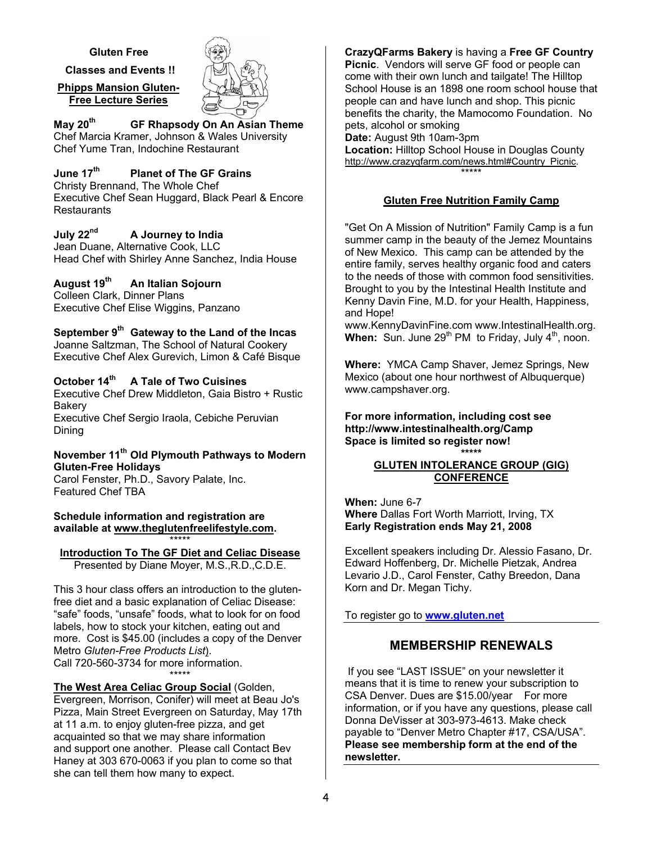#### **Gluten Free**

 **Classes and Events !!** 

**Phipps Mansion Gluten-Free Lecture Series** 



**May 20th GF Rhapsody On An Asian Theme**  Chef Marcia Kramer, Johnson & Wales University Chef Yume Tran, Indochine Restaurant

#### **June 17th Planet of The GF Grains**  Christy Brennand, The Whole Chef

Executive Chef Sean Huggard, Black Pearl & Encore **Restaurants** 

## **July 22nd A Journey to India**

Jean Duane, Alternative Cook, LLC Head Chef with Shirley Anne Sanchez, India House

## **August 19th An Italian Sojourn**

Colleen Clark, Dinner Plans Executive Chef Elise Wiggins, Panzano

## September 9<sup>th</sup> Gateway to the Land of the Incas

Joanne Saltzman, The School of Natural Cookery Executive Chef Alex Gurevich, Limon & Café Bisque

## **October 14th A Tale of Two Cuisines**

Executive Chef Drew Middleton, Gaia Bistro + Rustic **Bakery** 

Executive Chef Sergio Iraola, Cebiche Peruvian Dining

#### **November 11th Old Plymouth Pathways to Modern Gluten-Free Holidays**

Carol Fenster, Ph.D., Savory Palate, Inc. Featured Chef TBA

#### **Schedule information and registration are available at www.theglutenfreelifestyle.com.** \*\*\*\*\*

#### **Introduction To The GF Diet and Celiac Disease** Presented by Diane Moyer, M.S.,R.D.,C.D.E.

This 3 hour class offers an introduction to the glutenfree diet and a basic explanation of Celiac Disease: "safe" foods, "unsafe" foods, what to look for on food labels, how to stock your kitchen, eating out and more. Cost is \$45.00 (includes a copy of the Denver Metro *Gluten-Free Products List*). Call 720-560-3734 for more information. \*\*\*\*\*

**The West Area Celiac Group Social** (Golden, Evergreen, Morrison, Conifer) will meet at Beau Jo's Pizza, Main Street Evergreen on Saturday, May 17th at 11 a.m. to enjoy gluten-free pizza, and get acquainted so that we may share information and support one another. Please call Contact Bev Haney at 303 670-0063 if you plan to come so that she can tell them how many to expect.

**CrazyQFarms Bakery** is having a **Free GF Country Picnic**. Vendors will serve GF food or people can come with their own lunch and tailgate! The Hilltop School House is an 1898 one room school house that people can and have lunch and shop. This picnic benefits the charity, the Mamocomo Foundation. No pets, alcohol or smoking **Date:** August 9th 10am-3pm **Location:** Hilltop School House in Douglas County http://www.crazyqfarm.com/news.html#Country\_Picnic.

## **Gluten Free Nutrition Family Camp**

\*\*\*\*\*

"Get On A Mission of Nutrition" Family Camp is a fun summer camp in the beauty of the Jemez Mountains of New Mexico. This camp can be attended by the entire family, serves healthy organic food and caters to the needs of those with common food sensitivities. Brought to you by the Intestinal Health Institute and Kenny Davin Fine, M.D. for your Health, Happiness, and Hope!

www.KennyDavinFine.com www.IntestinalHealth.org. **When:** Sun. June 29<sup>th</sup> PM to Friday, July 4<sup>th</sup>, noon.

**Where:** YMCA Camp Shaver, Jemez Springs, New Mexico (about one hour northwest of Albuquerque) www.campshaver.org.

**For more information, including cost see http://www.intestinalhealth.org/Camp Space is limited so register now! \*\*\*\*\*** 

#### **GLUTEN INTOLERANCE GROUP (GIG) CONFERENCE**

**When:** June 6-7 **Where** Dallas Fort Worth Marriott, Irving, TX **Early Registration ends May 21, 2008** 

Excellent speakers including Dr. Alessio Fasano, Dr. Edward Hoffenberg, Dr. Michelle Pietzak, Andrea Levario J.D., Carol Fenster, Cathy Breedon, Dana Korn and Dr. Megan Tichy.

To register go to **www.gluten.net**

## **MEMBERSHIP RENEWALS**

 If you see "LAST ISSUE" on your newsletter it means that it is time to renew your subscription to CSA Denver. Dues are \$15.00/year For more information, or if you have any questions, please call Donna DeVisser at 303-973-4613. Make check payable to "Denver Metro Chapter #17, CSA/USA". **Please see membership form at the end of the newsletter.**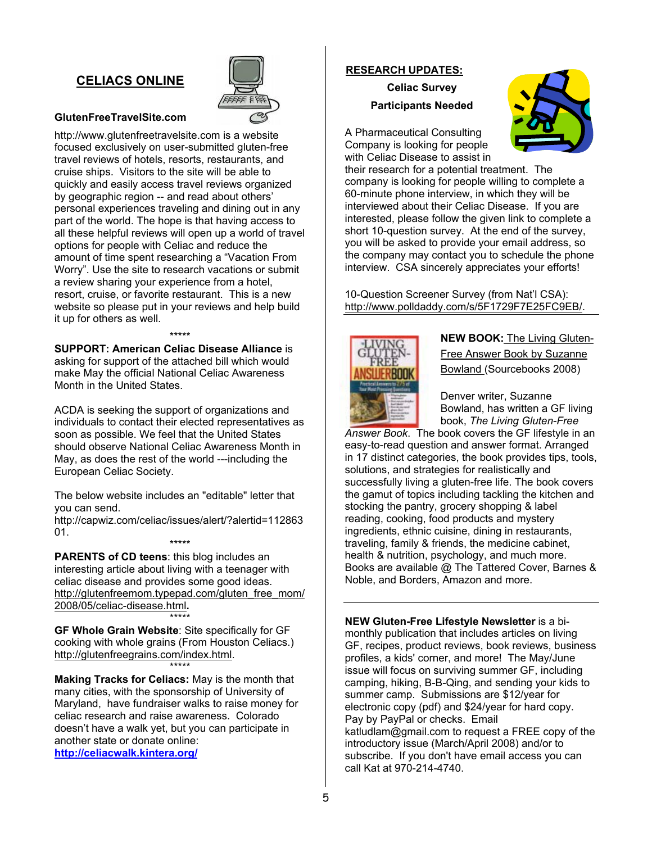## **CELIACS ONLINE**



#### **GlutenFreeTravelSite.com**

http://www.glutenfreetravelsite.com is a website focused exclusively on user-submitted gluten-free travel reviews of hotels, resorts, restaurants, and cruise ships. Visitors to the site will be able to quickly and easily access travel reviews organized by geographic region -- and read about others' personal experiences traveling and dining out in any part of the world. The hope is that having access to all these helpful reviews will open up a world of travel options for people with Celiac and reduce the amount of time spent researching a "Vacation From Worry". Use the site to research vacations or submit a review sharing your experience from a hotel, resort, cruise, or favorite restaurant. This is a new website so please put in your reviews and help build it up for others as well.

**SUPPORT: American Celiac Disease Alliance** is asking for support of the attached bill which would make May the official National Celiac Awareness Month in the United States.

\*\*\*\*\*\*\*\*\*

ACDA is seeking the support of organizations and individuals to contact their elected representatives as soon as possible. We feel that the United States should observe National Celiac Awareness Month in May, as does the rest of the world ---including the European Celiac Society.

The below website includes an "editable" letter that you can send.

http://capwiz.com/celiac/issues/alert/?alertid=112863 01. \*\*\*\*\*

**PARENTS of CD teens**: this blog includes an interesting article about living with a teenager with celiac disease and provides some good ideas. http://glutenfreemom.typepad.com/gluten\_free\_mom/ 2008/05/celiac-disease.html**.**  \*\*\*\*\*

**GF Whole Grain Website**: Site specifically for GF cooking with whole grains (From Houston Celiacs.) http://glutenfreegrains.com/index.html. \*\*\*\*\*

**Making Tracks for Celiacs:** May is the month that many cities, with the sponsorship of University of Maryland, have fundraiser walks to raise money for celiac research and raise awareness. Colorado doesn't have a walk yet, but you can participate in another state or donate online: **http://celiacwalk.kintera.org/**

#### **RESEARCH UPDATES:**

**Celiac Survey Participants Needed** 



A Pharmaceutical Consulting Company is looking for people with Celiac Disease to assist in

their research for a potential treatment. The company is looking for people willing to complete a 60-minute phone interview, in which they will be interviewed about their Celiac Disease. If you are interested, please follow the given link to complete a short 10-question survey. At the end of the survey, you will be asked to provide your email address, so the company may contact you to schedule the phone interview. CSA sincerely appreciates your efforts!

10-Question Screener Survey (from Nat'l CSA): http://www.polldaddy.com/s/5F1729F7E25FC9EB/.



**NEW BOOK:** The Living Gluten-Free Answer Book by Suzanne Bowland (Sourcebooks 2008)

Denver writer, Suzanne Bowland, has written a GF living book, *The Living Gluten-Free* 

*Answer Book*. The book covers the GF lifestyle in an easy-to-read question and answer format. Arranged in 17 distinct categories, the book provides tips, tools, solutions, and strategies for realistically and successfully living a gluten-free life. The book covers the gamut of topics including tackling the kitchen and stocking the pantry, grocery shopping & label reading, cooking, food products and mystery ingredients, ethnic cuisine, dining in restaurants, traveling, family & friends, the medicine cabinet, health & nutrition, psychology, and much more. Books are available @ The Tattered Cover, Barnes & Noble, and Borders, Amazon and more.

**NEW Gluten-Free Lifestyle Newsletter** is a bimonthly publication that includes articles on living GF, recipes, product reviews, book reviews, business profiles, a kids' corner, and more! The May/June issue will focus on surviving summer GF, including camping, hiking, B-B-Qing, and sending your kids to summer camp. Submissions are \$12/year for electronic copy (pdf) and \$24/year for hard copy. Pay by PayPal or checks. Email katludlam@gmail.com to request a FREE copy of the introductory issue (March/April 2008) and/or to subscribe. If you don't have email access you can call Kat at 970-214-4740.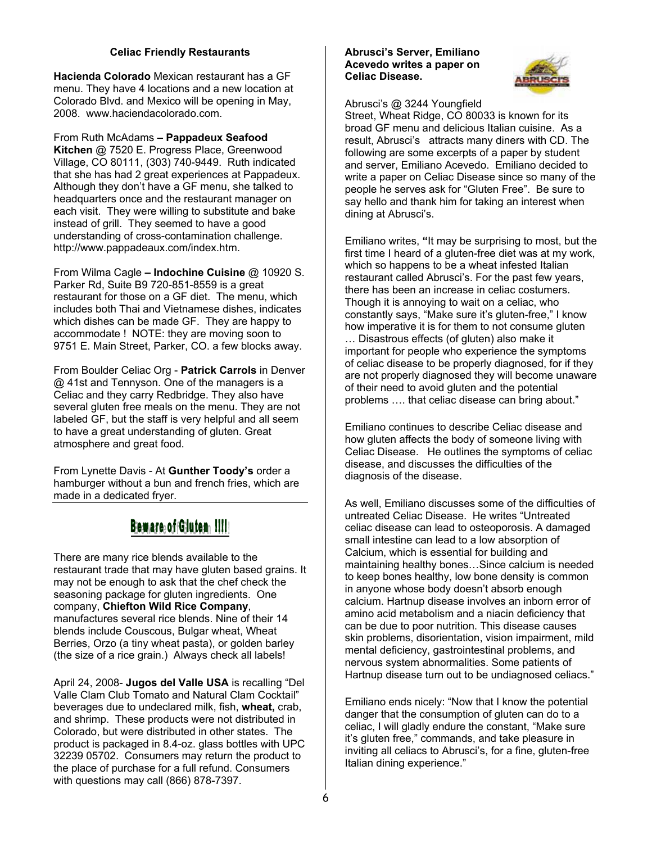#### **Celiac Friendly Restaurants**

**Hacienda Colorado** Mexican restaurant has a GF menu. They have 4 locations and a new location at Colorado Blvd. and Mexico will be opening in May, 2008. www.haciendacolorado.com.

From Ruth McAdams **– Pappadeux Seafood Kitchen** @ 7520 E. Progress Place, Greenwood Village, CO 80111, (303) 740-9449. Ruth indicated that she has had 2 great experiences at Pappadeux. Although they don't have a GF menu, she talked to headquarters once and the restaurant manager on each visit. They were willing to substitute and bake instead of grill. They seemed to have a good understanding of cross-contamination challenge. http://www.pappadeaux.com/index.htm.

From Wilma Cagle **– Indochine Cuisine** @ 10920 S. Parker Rd, Suite B9 720-851-8559 is a great restaurant for those on a GF diet. The menu, which includes both Thai and Vietnamese dishes, indicates which dishes can be made GF. They are happy to accommodate ! NOTE: they are moving soon to 9751 E. Main Street, Parker, CO. a few blocks away.

From Boulder Celiac Org - **Patrick Carrols** in Denver @ 41st and Tennyson. One of the managers is a Celiac and they carry Redbridge. They also have several gluten free meals on the menu. They are not labeled GF, but the staff is very helpful and all seem to have a great understanding of gluten. Great atmosphere and great food.

From Lynette Davis - At **Gunther Toody's** order a hamburger without a bun and french fries, which are made in a dedicated fryer.

# Beware of Gluten !!!!!

There are many rice blends available to the restaurant trade that may have gluten based grains. It may not be enough to ask that the chef check the seasoning package for gluten ingredients. One company, **Chiefton Wild Rice Company**, manufactures several rice blends. Nine of their 14 blends include Couscous, Bulgar wheat, Wheat Berries, Orzo (a tiny wheat pasta), or golden barley (the size of a rice grain.) Always check all labels!

April 24, 2008- **Jugos del Valle USA** is recalling "Del Valle Clam Club Tomato and Natural Clam Cocktail" beverages due to undeclared milk, fish, **wheat,** crab, and shrimp. These products were not distributed in Colorado, but were distributed in other states. The product is packaged in 8.4-oz. glass bottles with UPC 32239 05702. Consumers may return the product to the place of purchase for a full refund. Consumers with questions may call (866) 878-7397.

#### **Abrusci's Server, Emiliano Acevedo writes a paper on Celiac Disease.**



Abrusci's @ 3244 Youngfield

Street, Wheat Ridge, CO 80033 is known for its broad GF menu and delicious Italian cuisine. As a result, Abrusci's attracts many diners with CD. The following are some excerpts of a paper by student and server, Emiliano Acevedo. Emiliano decided to write a paper on Celiac Disease since so many of the people he serves ask for "Gluten Free". Be sure to say hello and thank him for taking an interest when dining at Abrusci's.

Emiliano writes, **"**It may be surprising to most, but the first time I heard of a gluten-free diet was at my work, which so happens to be a wheat infested Italian restaurant called Abrusci's. For the past few years, there has been an increase in celiac costumers. Though it is annoying to wait on a celiac, who constantly says, "Make sure it's gluten-free," I know how imperative it is for them to not consume gluten … Disastrous effects (of gluten) also make it important for people who experience the symptoms of celiac disease to be properly diagnosed, for if they are not properly diagnosed they will become unaware of their need to avoid gluten and the potential problems …. that celiac disease can bring about."

Emiliano continues to describe Celiac disease and how gluten affects the body of someone living with Celiac Disease. He outlines the symptoms of celiac disease, and discusses the difficulties of the diagnosis of the disease.

As well, Emiliano discusses some of the difficulties of untreated Celiac Disease. He writes "Untreated celiac disease can lead to osteoporosis. A damaged small intestine can lead to a low absorption of Calcium, which is essential for building and maintaining healthy bones…Since calcium is needed to keep bones healthy, low bone density is common in anyone whose body doesn't absorb enough calcium. Hartnup disease involves an inborn error of amino acid metabolism and a niacin deficiency that can be due to poor nutrition. This disease causes skin problems, disorientation, vision impairment, mild mental deficiency, gastrointestinal problems, and nervous system abnormalities. Some patients of Hartnup disease turn out to be undiagnosed celiacs."

Emiliano ends nicely: "Now that I know the potential danger that the consumption of gluten can do to a celiac, I will gladly endure the constant, "Make sure it's gluten free," commands, and take pleasure in inviting all celiacs to Abrusci's, for a fine, gluten-free Italian dining experience."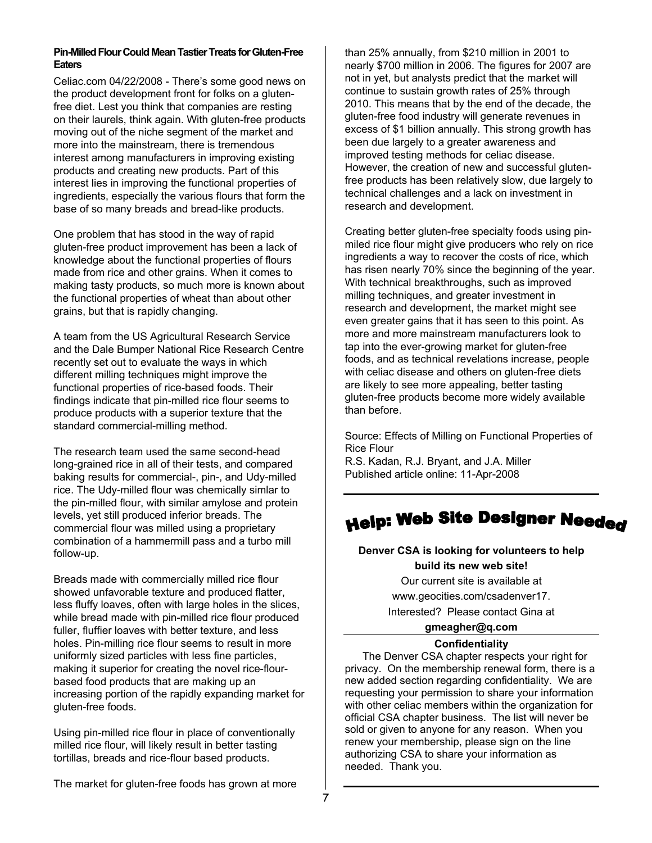#### **Pin-Milled Flour Could Mean Tastier Treats for Gluten-Free Eaters**

Celiac.com 04/22/2008 - There's some good news on the product development front for folks on a glutenfree diet. Lest you think that companies are resting on their laurels, think again. With gluten-free products moving out of the niche segment of the market and more into the mainstream, there is tremendous interest among manufacturers in improving existing products and creating new products. Part of this interest lies in improving the functional properties of ingredients, especially the various flours that form the base of so many breads and bread-like products.

One problem that has stood in the way of rapid gluten-free product improvement has been a lack of knowledge about the functional properties of flours made from rice and other grains. When it comes to making tasty products, so much more is known about the functional properties of wheat than about other grains, but that is rapidly changing.

A team from the US Agricultural Research Service and the Dale Bumper National Rice Research Centre recently set out to evaluate the ways in which different milling techniques might improve the functional properties of rice-based foods. Their findings indicate that pin-milled rice flour seems to produce products with a superior texture that the standard commercial-milling method.

The research team used the same second-head long-grained rice in all of their tests, and compared baking results for commercial-, pin-, and Udy-milled rice. The Udy-milled flour was chemically simlar to the pin-milled flour, with similar amylose and protein levels, yet still produced inferior breads. The commercial flour was milled using a proprietary combination of a hammermill pass and a turbo mill follow-up.

Breads made with commercially milled rice flour showed unfavorable texture and produced flatter, less fluffy loaves, often with large holes in the slices, while bread made with pin-milled rice flour produced fuller, fluffier loaves with better texture, and less holes. Pin-milling rice flour seems to result in more uniformly sized particles with less fine particles, making it superior for creating the novel rice-flourbased food products that are making up an increasing portion of the rapidly expanding market for gluten-free foods.

Using pin-milled rice flour in place of conventionally milled rice flour, will likely result in better tasting tortillas, breads and rice-flour based products.

The market for gluten-free foods has grown at more

than 25% annually, from \$210 million in 2001 to nearly \$700 million in 2006. The figures for 2007 are not in yet, but analysts predict that the market will continue to sustain growth rates of 25% through 2010. This means that by the end of the decade, the gluten-free food industry will generate revenues in excess of \$1 billion annually. This strong growth has been due largely to a greater awareness and improved testing methods for celiac disease. However, the creation of new and successful glutenfree products has been relatively slow, due largely to technical challenges and a lack on investment in research and development.

Creating better gluten-free specialty foods using pinmiled rice flour might give producers who rely on rice ingredients a way to recover the costs of rice, which has risen nearly 70% since the beginning of the year. With technical breakthroughs, such as improved milling techniques, and greater investment in research and development, the market might see even greater gains that it has seen to this point. As more and more mainstream manufacturers look to tap into the ever-growing market for gluten-free foods, and as technical revelations increase, people with celiac disease and others on gluten-free diets are likely to see more appealing, better tasting gluten-free products become more widely available than before.

Source: Effects of Milling on Functional Properties of Rice Flour R.S. Kadan, R.J. Bryant, and J.A. Miller Published article online: 11-Apr-2008

## **Denver CSA is looking for volunteers to help build its new web site!**

Our current site is available at www.geocities.com/csadenver17.

Interested? Please contact Gina at

## **gmeagher@q.com**

#### **Confidentiality**

The Denver CSA chapter respects your right for privacy. On the membership renewal form, there is a new added section regarding confidentiality. We are requesting your permission to share your information with other celiac members within the organization for official CSA chapter business. The list will never be sold or given to anyone for any reason. When you renew your membership, please sign on the line authorizing CSA to share your information as needed. Thank you.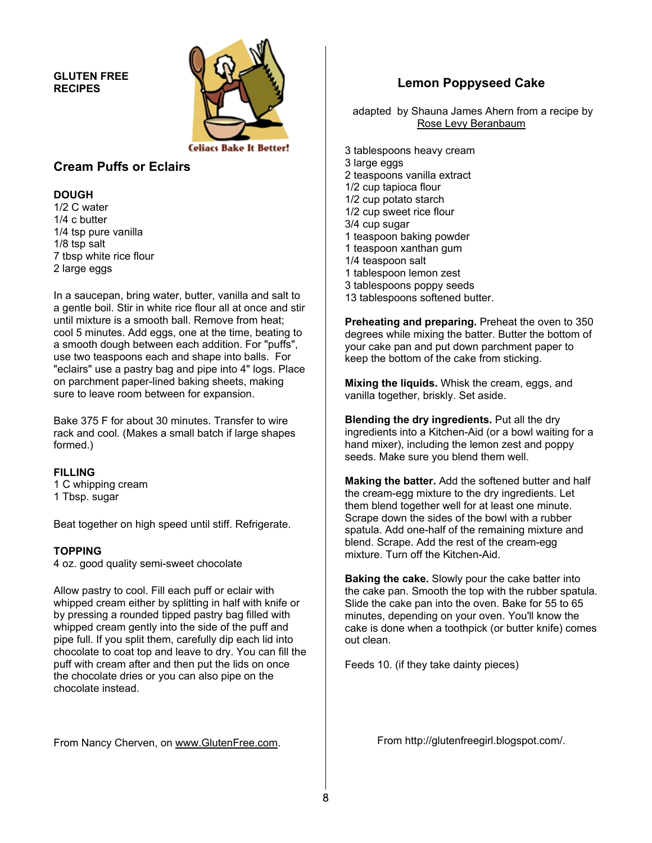#### **GLUTEN FREE RECIPES**



## **Cream Puffs or Eclairs**

#### **DOUGH**

1/2 C water 1/4 c butter 1/4 tsp pure vanilla 1/8 tsp salt 7 tbsp white rice flour 2 large eggs

In a saucepan, bring water, butter, vanilla and salt to a gentle boil. Stir in white rice flour all at once and stir until mixture is a smooth ball. Remove from heat; cool 5 minutes. Add eggs, one at the time, beating to a smooth dough between each addition. For "puffs", use two teaspoons each and shape into balls. For "eclairs" use a pastry bag and pipe into 4" logs. Place on parchment paper-lined baking sheets, making sure to leave room between for expansion.

Bake 375 F for about 30 minutes. Transfer to wire rack and cool. (Makes a small batch if large shapes formed.)

#### **FILLING**

1 C whipping cream 1 Tbsp. sugar

Beat together on high speed until stiff. Refrigerate.

#### **TOPPING**

4 oz. good quality semi-sweet chocolate

Allow pastry to cool. Fill each puff or eclair with whipped cream either by splitting in half with knife or by pressing a rounded tipped pastry bag filled with whipped cream gently into the side of the puff and pipe full. If you split them, carefully dip each lid into chocolate to coat top and leave to dry. You can fill the puff with cream after and then put the lids on once the chocolate dries or you can also pipe on the chocolate instead.

From Nancy Cherven, on www.GlutenFree.com.

## **Lemon Poppyseed Cake**

 adapted by Shauna James Ahern from a recipe by Rose Levy Beranbaum

3 tablespoons heavy cream 3 large eggs 2 teaspoons vanilla extract 1/2 cup tapioca flour 1/2 cup potato starch 1/2 cup sweet rice flour 3/4 cup sugar 1 teaspoon baking powder 1 teaspoon xanthan gum 1/4 teaspoon salt 1 tablespoon lemon zest 3 tablespoons poppy seeds 13 tablespoons softened butter.

**Preheating and preparing.** Preheat the oven to 350 degrees while mixing the batter. Butter the bottom of your cake pan and put down parchment paper to keep the bottom of the cake from sticking.

**Mixing the liquids.** Whisk the cream, eggs, and vanilla together, briskly. Set aside.

**Blending the dry ingredients.** Put all the dry ingredients into a Kitchen-Aid (or a bowl waiting for a hand mixer), including the lemon zest and poppy seeds. Make sure you blend them well.

**Making the batter.** Add the softened butter and half the cream-egg mixture to the dry ingredients. Let them blend together well for at least one minute. Scrape down the sides of the bowl with a rubber spatula. Add one-half of the remaining mixture and blend. Scrape. Add the rest of the cream-egg mixture. Turn off the Kitchen-Aid.

**Baking the cake.** Slowly pour the cake batter into the cake pan. Smooth the top with the rubber spatula. Slide the cake pan into the oven. Bake for 55 to 65 minutes, depending on your oven. You'll know the cake is done when a toothpick (or butter knife) comes out clean.

Feeds 10. (if they take dainty pieces)

From http://glutenfreegirl.blogspot.com/.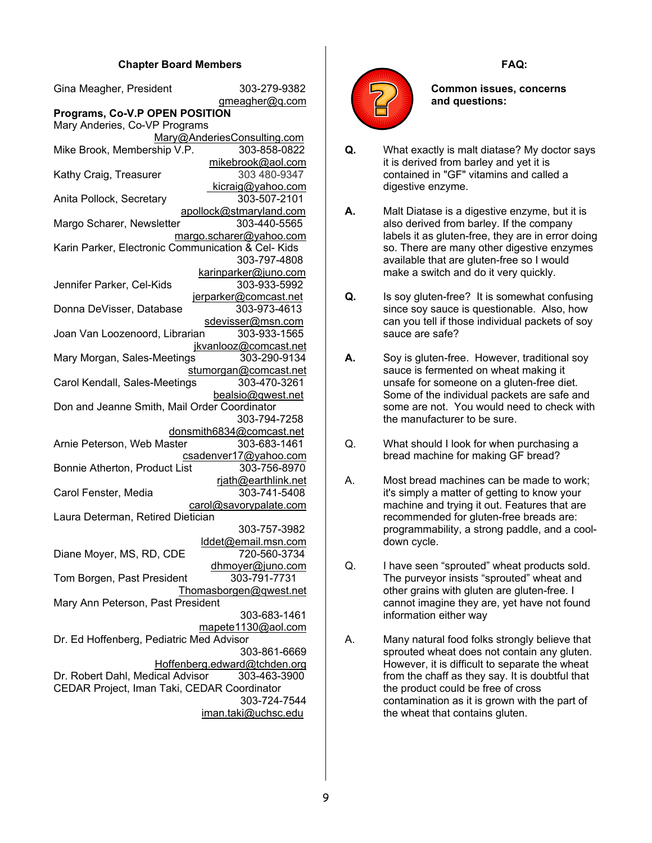#### **Chapter Board Members**

| Gina Meagher, President                                                       | 303-279-9382                                 |  |  |  |  |  |
|-------------------------------------------------------------------------------|----------------------------------------------|--|--|--|--|--|
|                                                                               | gmeagher@q.com                               |  |  |  |  |  |
| Programs, Co-V.P OPEN POSITION                                                |                                              |  |  |  |  |  |
| Mary Anderies, Co-VP Programs                                                 |                                              |  |  |  |  |  |
|                                                                               | Mary@AnderiesConsulting.com                  |  |  |  |  |  |
| Mike Brook, Membership V.P.                                                   | 303-858-0822                                 |  |  |  |  |  |
|                                                                               | mikebrook@aol.com<br>303 480-9347            |  |  |  |  |  |
| Kathy Craig, Treasurer                                                        | kicraig@yahoo.com                            |  |  |  |  |  |
| Anita Pollock, Secretary                                                      | 303-507-2101                                 |  |  |  |  |  |
|                                                                               | apollock@stmaryland.com                      |  |  |  |  |  |
| Margo Scharer, Newsletter                                                     | 303-440-5565                                 |  |  |  |  |  |
| margo.scharer@yahoo.com<br>Karin Parker, Electronic Communication & Cel- Kids |                                              |  |  |  |  |  |
|                                                                               | 303-797-4808                                 |  |  |  |  |  |
|                                                                               |                                              |  |  |  |  |  |
| Jennifer Parker, Cel-Kids                                                     | karinparker@juno.com<br>303-933-5992         |  |  |  |  |  |
|                                                                               | jerparker@comcast.net                        |  |  |  |  |  |
| Donna DeVisser, Database                                                      | 303-973-4613                                 |  |  |  |  |  |
|                                                                               | sdevisser@msn.com                            |  |  |  |  |  |
| Joan Van Loozenoord, Librarian                                                | 303-933-1565                                 |  |  |  |  |  |
|                                                                               | jkvanlooz@comcast.net                        |  |  |  |  |  |
| Mary Morgan, Sales-Meetings                                                   | 303-290-9134                                 |  |  |  |  |  |
|                                                                               | stumorgan@comcast.net                        |  |  |  |  |  |
| Carol Kendall, Sales-Meetings                                                 | 303-470-3261                                 |  |  |  |  |  |
|                                                                               | bealsio@qwest.net                            |  |  |  |  |  |
| Don and Jeanne Smith, Mail Order Coordinator                                  |                                              |  |  |  |  |  |
|                                                                               | 303-794-7258                                 |  |  |  |  |  |
|                                                                               | donsmith6834@comcast.net                     |  |  |  |  |  |
| Arnie Peterson, Web Master                                                    | 303-683-1461                                 |  |  |  |  |  |
|                                                                               | csadenver17@yahoo.com                        |  |  |  |  |  |
| Bonnie Atherton, Product List                                                 | 303-756-8970                                 |  |  |  |  |  |
|                                                                               | rjath@earthlink.net                          |  |  |  |  |  |
| Carol Fenster, Media                                                          | 303-741-5408                                 |  |  |  |  |  |
| Laura Determan, Retired Dietician                                             | carol@savorypalate.com                       |  |  |  |  |  |
|                                                                               | 303-757-3982                                 |  |  |  |  |  |
|                                                                               | lddet@email.msn.com                          |  |  |  |  |  |
| Diane Moyer, MS, RD, CDE                                                      | 720-560-3734                                 |  |  |  |  |  |
|                                                                               | <u>dhmoyer@juno.com</u>                      |  |  |  |  |  |
| Tom Borgen, Past President                                                    | 303-791-7731                                 |  |  |  |  |  |
|                                                                               | Thomasborgen@qwest.net                       |  |  |  |  |  |
| Mary Ann Peterson, Past President                                             |                                              |  |  |  |  |  |
|                                                                               | 303-683-1461                                 |  |  |  |  |  |
|                                                                               | mapete1130@aol.com                           |  |  |  |  |  |
| Dr. Ed Hoffenberg, Pediatric Med Advisor                                      |                                              |  |  |  |  |  |
|                                                                               | 303-861-6669                                 |  |  |  |  |  |
| Dr. Robert Dahl, Medical Advisor                                              | Hoffenberg.edward@tchden.org<br>303-463-3900 |  |  |  |  |  |
| CEDAR Project, Iman Taki, CEDAR Coordinator                                   |                                              |  |  |  |  |  |
|                                                                               | 303-724-7544                                 |  |  |  |  |  |
|                                                                               | iman.taki@uchsc.edu                          |  |  |  |  |  |
|                                                                               |                                              |  |  |  |  |  |





**Common issues, concerns and questions:** 

- **Q.** What exactly is malt diatase? My doctor says it is derived from barley and yet it is contained in "GF" vitamins and called a digestive enzyme.
- **A.** Malt Diatase is a digestive enzyme, but it is also derived from barley. If the company labels it as gluten-free, they are in error doing so. There are many other digestive enzymes available that are gluten-free so I would make a switch and do it very quickly.
- **Q.** Is soy gluten-free? It is somewhat confusing since soy sauce is questionable. Also, how can you tell if those individual packets of soy sauce are safe?
- **A.** Soy is gluten-free. However, traditional soy sauce is fermented on wheat making it unsafe for someone on a gluten-free diet. Some of the individual packets are safe and some are not. You would need to check with the manufacturer to be sure.
- Q. What should I look for when purchasing a bread machine for making GF bread?
- A. Most bread machines can be made to work; it's simply a matter of getting to know your machine and trying it out. Features that are recommended for gluten-free breads are: programmability, a strong paddle, and a cooldown cycle.
- Q. I have seen "sprouted" wheat products sold. The purveyor insists "sprouted" wheat and other grains with gluten are gluten-free. I cannot imagine they are, yet have not found information either way
- A. Many natural food folks strongly believe that sprouted wheat does not contain any gluten. However, it is difficult to separate the wheat from the chaff as they say. It is doubtful that the product could be free of cross contamination as it is grown with the part of the wheat that contains gluten.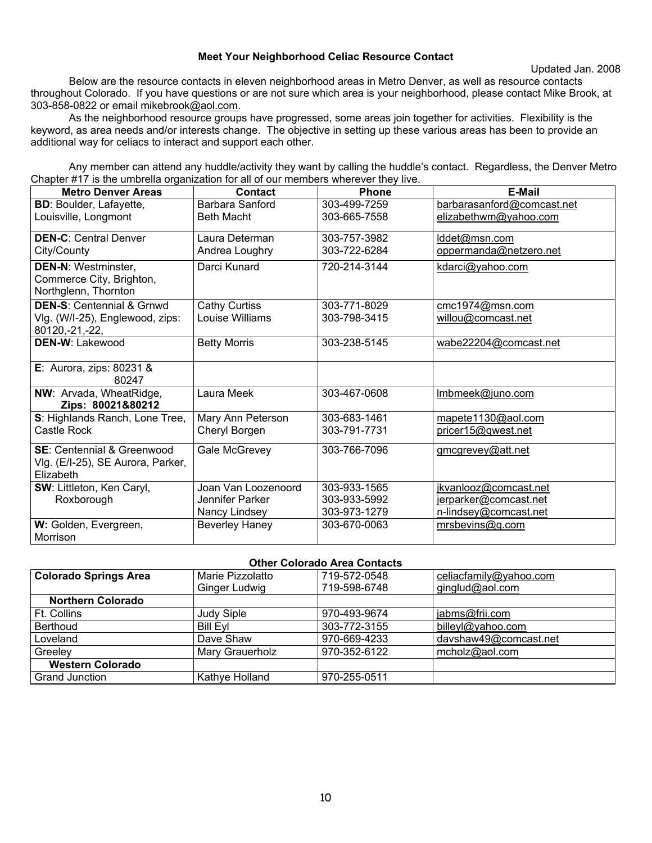#### **Meet Your Neighborhood Celiac Resource Contact**

Below are the resource contacts in eleven neighborhood areas in Metro Denver, as well as resource contacts throughout Colorado. If you have questions or are not sure which area is your neighborhood, please contact Mike Brook, at 303-858-0822 or email mikebrook@aol.com.

 As the neighborhood resource groups have progressed, some areas join together for activities. Flexibility is the keyword, as area needs and/or interests change. The objective in setting up these various areas has been to provide an additional way for celiacs to interact and support each other.

 Any member can attend any huddle/activity they want by calling the huddle's contact. Regardless, the Denver Metro Chapter #17 is the umbrella organization for all of our members wherever they live.

| <b>Metro Denver Areas</b>                                                    | Contact               | <b>Phone</b> | <b>E-Mail</b>              |
|------------------------------------------------------------------------------|-----------------------|--------------|----------------------------|
| <b>BD: Boulder, Lafayette,</b>                                               | Barbara Sanford       | 303-499-7259 | barbarasanford@comcast.net |
| Louisville, Longmont                                                         | <b>Beth Macht</b>     | 303-665-7558 | elizabethwm@yahoo.com      |
| <b>DEN-C: Central Denver</b>                                                 | Laura Determan        | 303-757-3982 | lddet@msn.com              |
| City/County                                                                  | Andrea Loughry        | 303-722-6284 | oppermanda@netzero.net     |
| <b>DEN-N: Westminster,</b><br>Commerce City, Brighton,                       | Darci Kunard          | 720-214-3144 | kdarci@yahoo.com           |
| Northglenn, Thornton                                                         |                       |              |                            |
| <b>DEN-S: Centennial &amp; Grnwd</b>                                         | <b>Cathy Curtiss</b>  | 303-771-8029 | cmc1974@msn.com            |
| Vlg. (W/I-25), Englewood, zips:<br>80120, -21, -22,                          | Louise Williams       | 303-798-3415 | willou@comcast.net         |
| <b>DEN-W: Lakewood</b>                                                       | <b>Betty Morris</b>   | 303-238-5145 | wabe22204@comcast.net      |
| E: Aurora, zips: 80231 &<br>80247                                            |                       |              |                            |
| NW: Arvada, WheatRidge,<br>Zips: 80021&80212                                 | Laura Meek            | 303-467-0608 | Imbmeek@juno.com           |
| S: Highlands Ranch, Lone Tree,                                               | Mary Ann Peterson     | 303-683-1461 | mapete1130@aol.com         |
| Castle Rock                                                                  | Cheryl Borgen         | 303-791-7731 | pricer15@qwest.net         |
| SE: Centennial & Greenwood<br>Vlg. (E/I-25), SE Aurora, Parker,<br>Elizabeth | Gale McGrevey         | 303-766-7096 | gmcgrevey@att.net          |
| SW: Littleton, Ken Caryl,                                                    | Joan Van Loozenoord   | 303-933-1565 | jkvanlooz@comcast.net      |
| Roxborough                                                                   | Jennifer Parker       | 303-933-5992 | jerparker@comcast.net      |
|                                                                              | Nancy Lindsey         | 303-973-1279 | n-lindsey@comcast.net      |
| W: Golden, Evergreen,                                                        | <b>Beverley Haney</b> | 303-670-0063 | mrsbevins@q.com            |
| Morrison                                                                     |                       |              |                            |

#### **Other Colorado Area Contacts**

| <b>Colorado Springs Area</b> | Marie Pizzolatto  | 719-572-0548 | celiacfamily@yahoo.com |  |
|------------------------------|-------------------|--------------|------------------------|--|
|                              | Ginger Ludwig     | 719-598-6748 | ginglud@aol.com        |  |
| <b>Northern Colorado</b>     |                   |              |                        |  |
| Ft. Collins                  | <b>Judy Siple</b> | 970-493-9674 | jabms@frii.com         |  |
| <b>Berthoud</b>              | <b>Bill Evl</b>   | 303-772-3155 | billeyl@yahoo.com      |  |
| Loveland                     | Dave Shaw         | 970-669-4233 | davshaw49@comcast.net  |  |
| Greelev                      | Mary Grauerholz   | 970-352-6122 | mcholz@aol.com         |  |
| <b>Western Colorado</b>      |                   |              |                        |  |
| <b>Grand Junction</b>        | Kathye Holland    | 970-255-0511 |                        |  |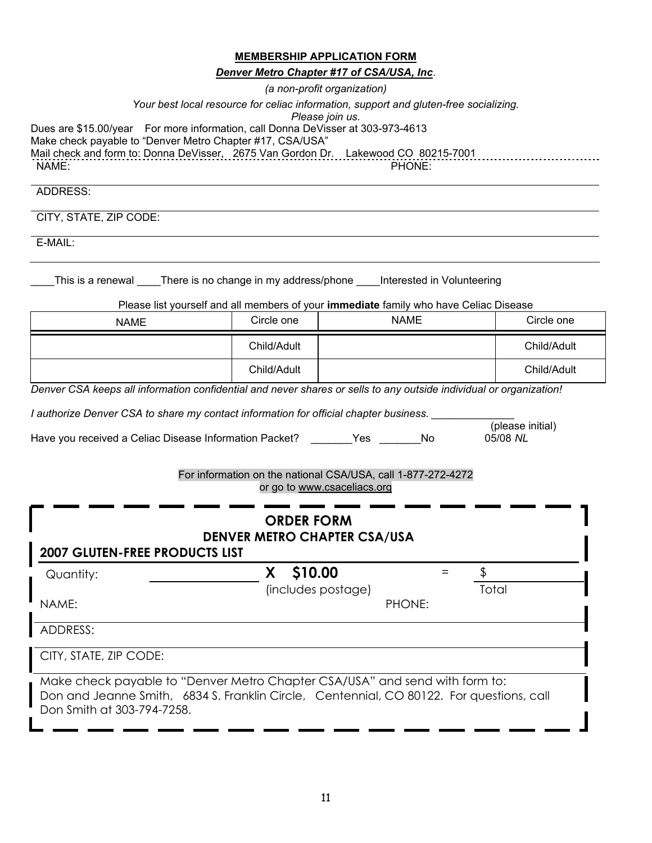|                                                                                                                                                                                                                                             |                    | <b>MEMBERSHIP APPLICATION FORM</b><br>Denver Metro Chapter #17 of CSA/USA, Inc.<br>(a non-profit organization) |     |             |
|---------------------------------------------------------------------------------------------------------------------------------------------------------------------------------------------------------------------------------------------|--------------------|----------------------------------------------------------------------------------------------------------------|-----|-------------|
| Your best local resource for celiac information, support and gluten-free socializing.                                                                                                                                                       |                    | Please join us.                                                                                                |     |             |
| Dues are \$15.00/year For more information, call Donna DeVisser at 303-973-4613<br>Make check payable to "Denver Metro Chapter #17, CSA/USA"<br>Mail check and form to: Donna DeVisser, 2675 Van Gordon Dr. Lakewood CO 80215-7001<br>NAME: |                    | PHONE:                                                                                                         |     |             |
| ADDRESS:                                                                                                                                                                                                                                    |                    |                                                                                                                |     |             |
| CITY, STATE, ZIP CODE:                                                                                                                                                                                                                      |                    |                                                                                                                |     |             |
| E-MAIL:                                                                                                                                                                                                                                     |                    |                                                                                                                |     |             |
| This is a renewal _____There is no change in my address/phone _____Interested in Volunteering<br>Please list yourself and all members of your immediate family who have Celiac Disease                                                      |                    |                                                                                                                |     |             |
| <b>NAME</b>                                                                                                                                                                                                                                 | Circle one         | <b>NAME</b>                                                                                                    |     | Circle one  |
|                                                                                                                                                                                                                                             | Child/Adult        |                                                                                                                |     | Child/Adult |
|                                                                                                                                                                                                                                             | Child/Adult        |                                                                                                                |     | Child/Adult |
| Denver CSA keeps all information confidential and never shares or sells to any outside individual or organization!                                                                                                                          |                    |                                                                                                                |     |             |
| I authorize Denver CSA to share my contact information for official chapter business.                                                                                                                                                       |                    |                                                                                                                |     |             |
| (please initial)<br>Have you received a Celiac Disease Information Packet? _______ Yes ______<br>No<br>05/08 NL                                                                                                                             |                    |                                                                                                                |     |             |
|                                                                                                                                                                                                                                             |                    | For information on the national CSA/USA, call 1-877-272-4272<br>or go to www.csaceliacs.org                    |     |             |
|                                                                                                                                                                                                                                             | <b>ORDER FORM</b>  |                                                                                                                |     |             |
| <b>2007 GLUTEN-FREE PRODUCTS LIST</b>                                                                                                                                                                                                       |                    | <b>DENVER METRO CHAPTER CSA/USA</b>                                                                            |     |             |
| Quantity:                                                                                                                                                                                                                                   | X \$10.00          |                                                                                                                | $=$ | \$          |
| NAME:                                                                                                                                                                                                                                       | (includes postage) | PHONE:                                                                                                         |     | Total       |
| <b>ADDRESS:</b>                                                                                                                                                                                                                             |                    |                                                                                                                |     |             |
| CITY, STATE, ZIP CODE:                                                                                                                                                                                                                      |                    |                                                                                                                |     |             |
| Make check payable to "Denver Metro Chapter CSA/LISA" and send with form to:                                                                                                                                                                |                    |                                                                                                                |     |             |

Make check payable to "Denver Metro Chapter CSA/USA" and send with form to: Don and Jeanne Smith, 6834 S. Franklin Circle, Centennial, CO 80122. For questions, call Don Smith at 303-794-7258.

I